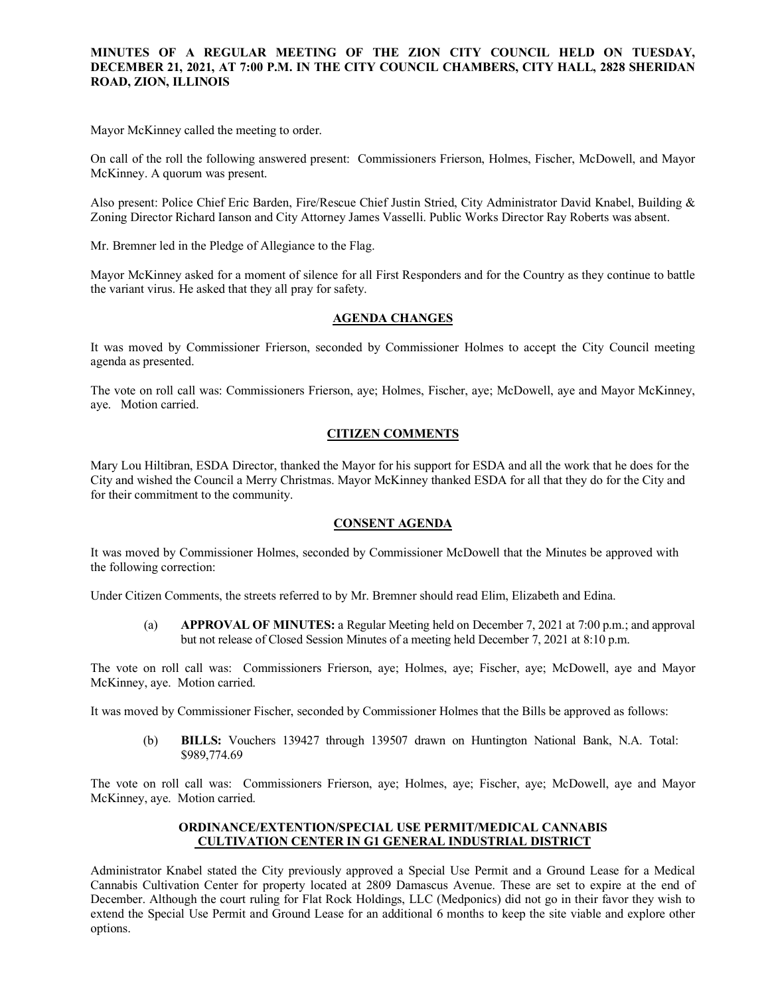## **MINUTES OF A REGULAR MEETING OF THE ZION CITY COUNCIL HELD ON TUESDAY, DECEMBER 21, 2021, AT 7:00 P.M. IN THE CITY COUNCIL CHAMBERS, CITY HALL, 2828 SHERIDAN ROAD, ZION, ILLINOIS**

#### 

Mayor McKinney called the meeting to order.

On call of the roll the following answered present: Commissioners Frierson, Holmes, Fischer, McDowell, and Mayor McKinney. A quorum was present.

Also present: Police Chief Eric Barden, Fire/Rescue Chief Justin Stried, City Administrator David Knabel, Building & Zoning Director Richard Ianson and City Attorney James Vasselli. Public Works Director Ray Roberts was absent.

Mr. Bremner led in the Pledge of Allegiance to the Flag.

Mayor McKinney asked for a moment of silence for all First Responders and for the Country as they continue to battle the variant virus. He asked that they all pray for safety.

### **AGENDA CHANGES**

It was moved by Commissioner Frierson, seconded by Commissioner Holmes to accept the City Council meeting agenda as presented.

The vote on roll call was: Commissioners Frierson, aye; Holmes, Fischer, aye; McDowell, aye and Mayor McKinney, aye. Motion carried.

## **CITIZEN COMMENTS**

Mary Lou Hiltibran, ESDA Director, thanked the Mayor for his support for ESDA and all the work that he does for the City and wished the Council a Merry Christmas. Mayor McKinney thanked ESDA for all that they do for the City and for their commitment to the community.

### **CONSENT AGENDA**

It was moved by Commissioner Holmes, seconded by Commissioner McDowell that the Minutes be approved with the following correction:

Under Citizen Comments, the streets referred to by Mr. Bremner should read Elim, Elizabeth and Edina.

(a) **APPROVAL OF MINUTES:** a Regular Meeting held on December 7, 2021 at 7:00 p.m.; and approval but not release of Closed Session Minutes of a meeting held December 7, 2021 at 8:10 p.m.

The vote on roll call was: Commissioners Frierson, aye; Holmes, aye; Fischer, aye; McDowell, aye and Mayor McKinney, aye. Motion carried.

It was moved by Commissioner Fischer, seconded by Commissioner Holmes that the Bills be approved as follows:

(b) **BILLS:** Vouchers 139427 through 139507 drawn on Huntington National Bank, N.A. Total: \$989,774.69

The vote on roll call was: Commissioners Frierson, aye; Holmes, aye; Fischer, aye; McDowell, aye and Mayor McKinney, aye. Motion carried.

### **ORDINANCE/EXTENTION/SPECIAL USE PERMIT/MEDICAL CANNABIS CULTIVATION CENTER IN G1 GENERAL INDUSTRIAL DISTRICT**

Administrator Knabel stated the City previously approved a Special Use Permit and a Ground Lease for a Medical Cannabis Cultivation Center for property located at 2809 Damascus Avenue. These are set to expire at the end of December. Although the court ruling for Flat Rock Holdings, LLC (Medponics) did not go in their favor they wish to extend the Special Use Permit and Ground Lease for an additional 6 months to keep the site viable and explore other options.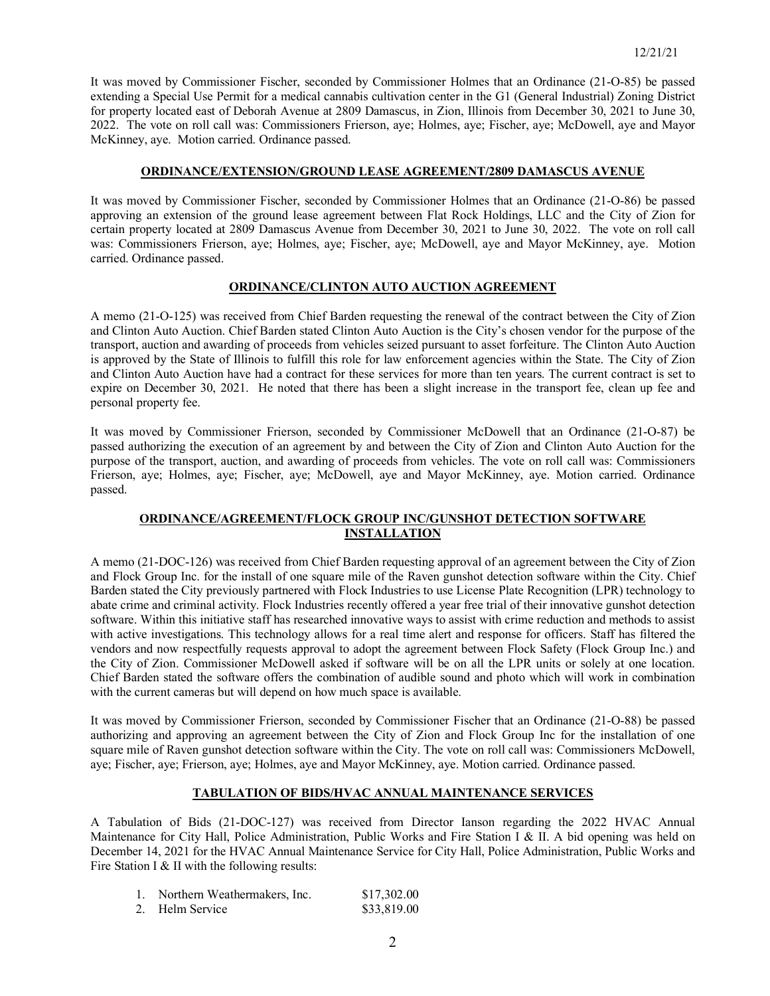It was moved by Commissioner Fischer, seconded by Commissioner Holmes that an Ordinance (21-O-85) be passed extending a Special Use Permit for a medical cannabis cultivation center in the G1 (General Industrial) Zoning District for property located east of Deborah Avenue at 2809 Damascus, in Zion, Illinois from December 30, 2021 to June 30, 2022. The vote on roll call was: Commissioners Frierson, aye; Holmes, aye; Fischer, aye; McDowell, aye and Mayor McKinney, aye. Motion carried. Ordinance passed.

### **ORDINANCE/EXTENSION/GROUND LEASE AGREEMENT/2809 DAMASCUS AVENUE**

It was moved by Commissioner Fischer, seconded by Commissioner Holmes that an Ordinance (21-O-86) be passed approving an extension of the ground lease agreement between Flat Rock Holdings, LLC and the City of Zion for certain property located at 2809 Damascus Avenue from December 30, 2021 to June 30, 2022. The vote on roll call was: Commissioners Frierson, aye; Holmes, aye; Fischer, aye; McDowell, aye and Mayor McKinney, aye. Motion carried. Ordinance passed.

## **ORDINANCE/CLINTON AUTO AUCTION AGREEMENT**

A memo (21-O-125) was received from Chief Barden requesting the renewal of the contract between the City of Zion and Clinton Auto Auction. Chief Barden stated Clinton Auto Auction is the City's chosen vendor for the purpose of the transport, auction and awarding of proceeds from vehicles seized pursuant to asset forfeiture. The Clinton Auto Auction is approved by the State of Illinois to fulfill this role for law enforcement agencies within the State. The City of Zion and Clinton Auto Auction have had a contract for these services for more than ten years. The current contract is set to expire on December 30, 2021. He noted that there has been a slight increase in the transport fee, clean up fee and personal property fee.

It was moved by Commissioner Frierson, seconded by Commissioner McDowell that an Ordinance (21-O-87) be passed authorizing the execution of an agreement by and between the City of Zion and Clinton Auto Auction for the purpose of the transport, auction, and awarding of proceeds from vehicles. The vote on roll call was: Commissioners Frierson, aye; Holmes, aye; Fischer, aye; McDowell, aye and Mayor McKinney, aye. Motion carried. Ordinance passed.

# **ORDINANCE/AGREEMENT/FLOCK GROUP INC/GUNSHOT DETECTION SOFTWARE INSTALLATION**

A memo (21-DOC-126) was received from Chief Barden requesting approval of an agreement between the City of Zion and Flock Group Inc. for the install of one square mile of the Raven gunshot detection software within the City. Chief Barden stated the City previously partnered with Flock Industries to use License Plate Recognition (LPR) technology to abate crime and criminal activity. Flock Industries recently offered a year free trial of their innovative gunshot detection software. Within this initiative staff has researched innovative ways to assist with crime reduction and methods to assist with active investigations. This technology allows for a real time alert and response for officers. Staff has filtered the vendors and now respectfully requests approval to adopt the agreement between Flock Safety (Flock Group Inc.) and the City of Zion. Commissioner McDowell asked if software will be on all the LPR units or solely at one location. Chief Barden stated the software offers the combination of audible sound and photo which will work in combination with the current cameras but will depend on how much space is available.

It was moved by Commissioner Frierson, seconded by Commissioner Fischer that an Ordinance (21-O-88) be passed authorizing and approving an agreement between the City of Zion and Flock Group Inc for the installation of one square mile of Raven gunshot detection software within the City. The vote on roll call was: Commissioners McDowell, aye; Fischer, aye; Frierson, aye; Holmes, aye and Mayor McKinney, aye. Motion carried. Ordinance passed.

## **TABULATION OF BIDS/HVAC ANNUAL MAINTENANCE SERVICES**

A Tabulation of Bids (21-DOC-127) was received from Director Ianson regarding the 2022 HVAC Annual Maintenance for City Hall, Police Administration, Public Works and Fire Station I & II. A bid opening was held on December 14, 2021 for the HVAC Annual Maintenance Service for City Hall, Police Administration, Public Works and Fire Station I & II with the following results:

| Northern Weathermakers, Inc. | \$17,302.00 |
|------------------------------|-------------|
| 2. Helm Service              | \$33,819.00 |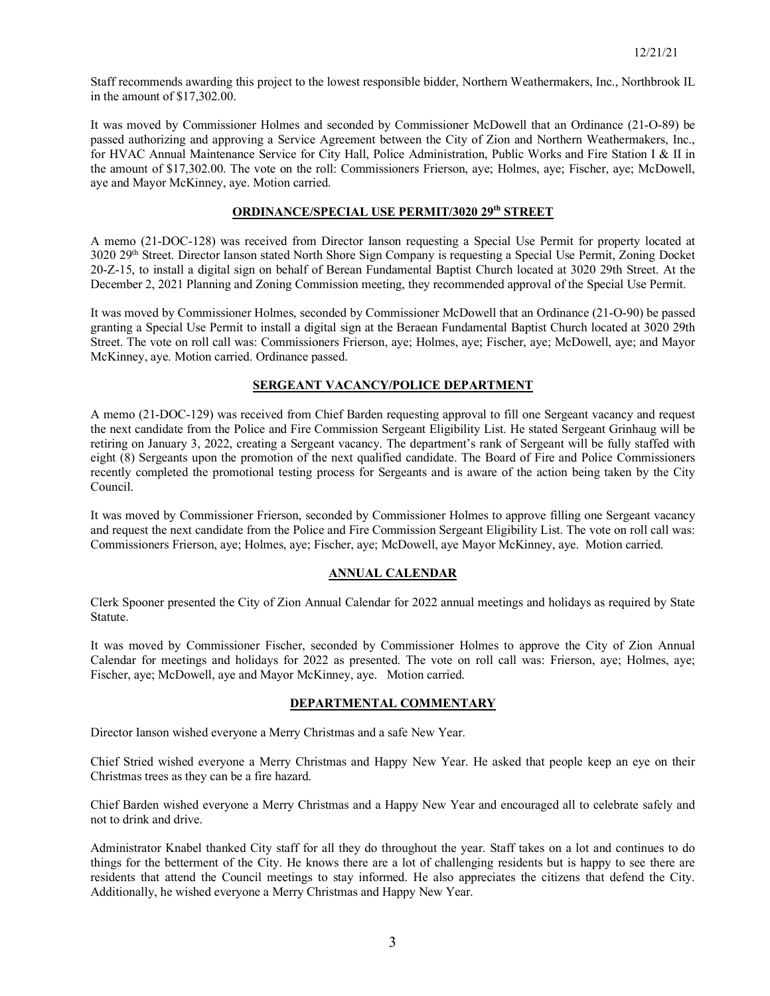Staff recommends awarding this project to the lowest responsible bidder, Northern Weathermakers, Inc., Northbrook IL in the amount of \$17,302.00.

It was moved by Commissioner Holmes and seconded by Commissioner McDowell that an Ordinance (21-O-89) be passed authorizing and approving a Service Agreement between the City of Zion and Northern Weathermakers, Inc., for HVAC Annual Maintenance Service for City Hall, Police Administration, Public Works and Fire Station I & II in the amount of \$17,302.00. The vote on the roll: Commissioners Frierson, aye; Holmes, aye; Fischer, aye; McDowell, aye and Mayor McKinney, aye. Motion carried.

# **ORDINANCE/SPECIAL USE PERMIT/3020 29th STREET**

A memo (21-DOC-128) was received from Director Ianson requesting a Special Use Permit for property located at 3020 29th Street. Director Ianson stated North Shore Sign Company is requesting a Special Use Permit, Zoning Docket 20-Z-15, to install a digital sign on behalf of Berean Fundamental Baptist Church located at 3020 29th Street. At the December 2, 2021 Planning and Zoning Commission meeting, they recommended approval of the Special Use Permit.

It was moved by Commissioner Holmes, seconded by Commissioner McDowell that an Ordinance (21-O-90) be passed granting a Special Use Permit to install a digital sign at the Beraean Fundamental Baptist Church located at 3020 29th Street. The vote on roll call was: Commissioners Frierson, aye; Holmes, aye; Fischer, aye; McDowell, aye; and Mayor McKinney, aye. Motion carried. Ordinance passed.

### **SERGEANT VACANCY/POLICE DEPARTMENT**

A memo (21-DOC-129) was received from Chief Barden requesting approval to fill one Sergeant vacancy and request the next candidate from the Police and Fire Commission Sergeant Eligibility List. He stated Sergeant Grinhaug will be retiring on January 3, 2022, creating a Sergeant vacancy. The department's rank of Sergeant will be fully staffed with eight (8) Sergeants upon the promotion of the next qualified candidate. The Board of Fire and Police Commissioners recently completed the promotional testing process for Sergeants and is aware of the action being taken by the City Council.

It was moved by Commissioner Frierson, seconded by Commissioner Holmes to approve filling one Sergeant vacancy and request the next candidate from the Police and Fire Commission Sergeant Eligibility List. The vote on roll call was: Commissioners Frierson, aye; Holmes, aye; Fischer, aye; McDowell, aye Mayor McKinney, aye. Motion carried.

### **ANNUAL CALENDAR**

Clerk Spooner presented the City of Zion Annual Calendar for 2022 annual meetings and holidays as required by State Statute.

It was moved by Commissioner Fischer, seconded by Commissioner Holmes to approve the City of Zion Annual Calendar for meetings and holidays for 2022 as presented. The vote on roll call was: Frierson, aye; Holmes, aye; Fischer, aye; McDowell, aye and Mayor McKinney, aye. Motion carried.

### **DEPARTMENTAL COMMENTARY**

Director Ianson wished everyone a Merry Christmas and a safe New Year.

Chief Stried wished everyone a Merry Christmas and Happy New Year. He asked that people keep an eye on their Christmas trees as they can be a fire hazard.

Chief Barden wished everyone a Merry Christmas and a Happy New Year and encouraged all to celebrate safely and not to drink and drive.

Administrator Knabel thanked City staff for all they do throughout the year. Staff takes on a lot and continues to do things for the betterment of the City. He knows there are a lot of challenging residents but is happy to see there are residents that attend the Council meetings to stay informed. He also appreciates the citizens that defend the City. Additionally, he wished everyone a Merry Christmas and Happy New Year.